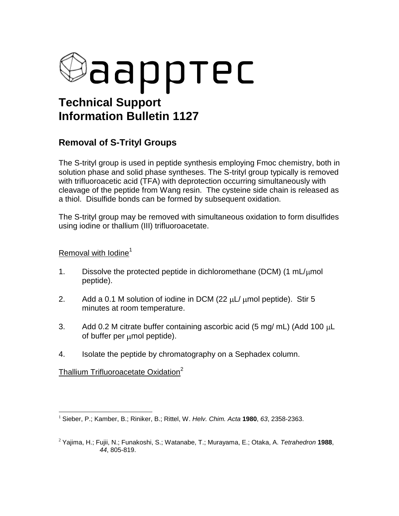

## **Removal of S-Trityl Groups**

The S-trityl group is used in peptide synthesis employing Fmoc chemistry, both in solution phase and solid phase syntheses. The S-trityl group typically is removed with trifluoroacetic acid (TFA) with deprotection occurring simultaneously with cleavage of the peptide from Wang resin. The cysteine side chain is released as a thiol. Disulfide bonds can be formed by subsequent oxidation.

The S-trityl group may be removed with simultaneous oxidation to form disulfides using iodine or thallium (III) trifluoroacetate.

## Removal with  $I$ odine<sup>1</sup>

- 1. Dissolve the protected peptide in dichloromethane (DCM) (1 mL/ $\mu$ mol peptide).
- 2. Add a 0.1 M solution of iodine in DCM (22  $\mu$ L/  $\mu$ mol peptide). Stir 5 minutes at room temperature.
- 3. Add 0.2 M citrate buffer containing ascorbic acid  $(5 \text{ mg/mL})$  (Add 100  $\mu$ L) of buffer per umol peptide).
- 4. Isolate the peptide by chromatography on a Sephadex column.

Thallium Trifluoroacetate Oxidation $2$ 

 $\overline{a}$ <sup>1</sup> Sieber, P.; Kamber, B.; Riniker, B.; Rittel, W. *Helv. Chim. Acta* **1980**, *63*, 2358-2363.

<sup>2</sup> Yajima, H.; Fujii, N.; Funakoshi, S.; Watanabe, T.; Murayama, E.; Otaka, A. *Tetrahedron* **1988**, *44*, 805-819.